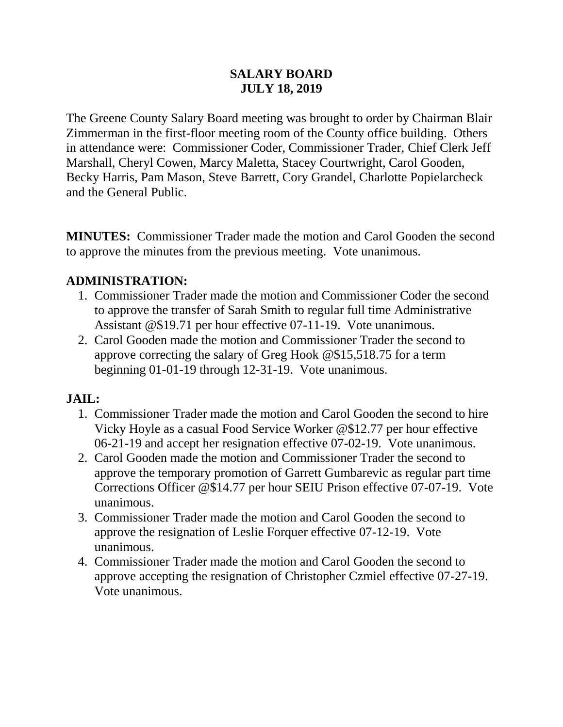#### **SALARY BOARD JULY 18, 2019**

The Greene County Salary Board meeting was brought to order by Chairman Blair Zimmerman in the first-floor meeting room of the County office building. Others in attendance were: Commissioner Coder, Commissioner Trader, Chief Clerk Jeff Marshall, Cheryl Cowen, Marcy Maletta, Stacey Courtwright, Carol Gooden, Becky Harris, Pam Mason, Steve Barrett, Cory Grandel, Charlotte Popielarcheck and the General Public.

**MINUTES:** Commissioner Trader made the motion and Carol Gooden the second to approve the minutes from the previous meeting. Vote unanimous.

#### **ADMINISTRATION:**

- 1. Commissioner Trader made the motion and Commissioner Coder the second to approve the transfer of Sarah Smith to regular full time Administrative Assistant @\$19.71 per hour effective 07-11-19. Vote unanimous.
- 2. Carol Gooden made the motion and Commissioner Trader the second to approve correcting the salary of Greg Hook @\$15,518.75 for a term beginning 01-01-19 through 12-31-19. Vote unanimous.

## **JAIL:**

- 1. Commissioner Trader made the motion and Carol Gooden the second to hire Vicky Hoyle as a casual Food Service Worker @\$12.77 per hour effective 06-21-19 and accept her resignation effective 07-02-19. Vote unanimous.
- 2. Carol Gooden made the motion and Commissioner Trader the second to approve the temporary promotion of Garrett Gumbarevic as regular part time Corrections Officer @\$14.77 per hour SEIU Prison effective 07-07-19. Vote unanimous.
- 3. Commissioner Trader made the motion and Carol Gooden the second to approve the resignation of Leslie Forquer effective 07-12-19. Vote unanimous.
- 4. Commissioner Trader made the motion and Carol Gooden the second to approve accepting the resignation of Christopher Czmiel effective 07-27-19. Vote unanimous.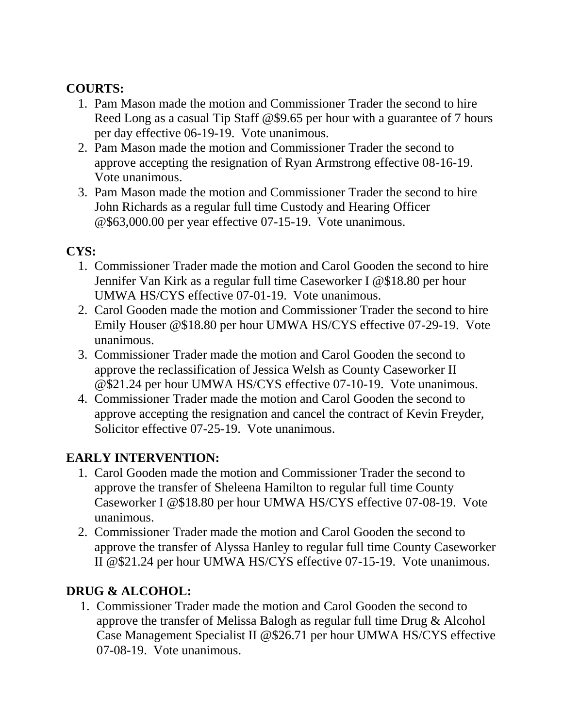## **COURTS:**

- 1. Pam Mason made the motion and Commissioner Trader the second to hire Reed Long as a casual Tip Staff @\$9.65 per hour with a guarantee of 7 hours per day effective 06-19-19. Vote unanimous.
- 2. Pam Mason made the motion and Commissioner Trader the second to approve accepting the resignation of Ryan Armstrong effective 08-16-19. Vote unanimous.
- 3. Pam Mason made the motion and Commissioner Trader the second to hire John Richards as a regular full time Custody and Hearing Officer @\$63,000.00 per year effective 07-15-19. Vote unanimous.

## **CYS:**

- 1. Commissioner Trader made the motion and Carol Gooden the second to hire Jennifer Van Kirk as a regular full time Caseworker I @\$18.80 per hour UMWA HS/CYS effective 07-01-19. Vote unanimous.
- 2. Carol Gooden made the motion and Commissioner Trader the second to hire Emily Houser @\$18.80 per hour UMWA HS/CYS effective 07-29-19. Vote unanimous.
- 3. Commissioner Trader made the motion and Carol Gooden the second to approve the reclassification of Jessica Welsh as County Caseworker II @\$21.24 per hour UMWA HS/CYS effective 07-10-19. Vote unanimous.
- 4. Commissioner Trader made the motion and Carol Gooden the second to approve accepting the resignation and cancel the contract of Kevin Freyder, Solicitor effective 07-25-19. Vote unanimous.

# **EARLY INTERVENTION:**

- 1. Carol Gooden made the motion and Commissioner Trader the second to approve the transfer of Sheleena Hamilton to regular full time County Caseworker I @\$18.80 per hour UMWA HS/CYS effective 07-08-19. Vote unanimous.
- 2. Commissioner Trader made the motion and Carol Gooden the second to approve the transfer of Alyssa Hanley to regular full time County Caseworker II @\$21.24 per hour UMWA HS/CYS effective 07-15-19. Vote unanimous.

## **DRUG & ALCOHOL:**

1. Commissioner Trader made the motion and Carol Gooden the second to approve the transfer of Melissa Balogh as regular full time Drug & Alcohol Case Management Specialist II @\$26.71 per hour UMWA HS/CYS effective 07-08-19. Vote unanimous.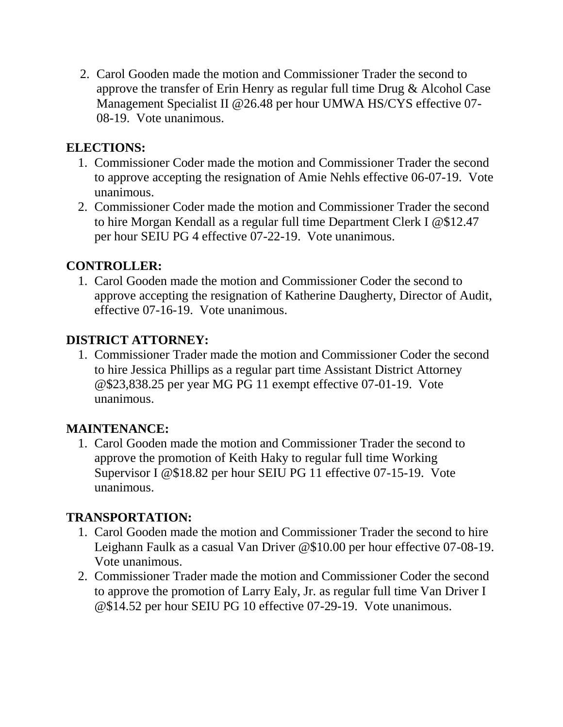2. Carol Gooden made the motion and Commissioner Trader the second to approve the transfer of Erin Henry as regular full time Drug & Alcohol Case Management Specialist II @26.48 per hour UMWA HS/CYS effective 07- 08-19. Vote unanimous.

#### **ELECTIONS:**

- 1. Commissioner Coder made the motion and Commissioner Trader the second to approve accepting the resignation of Amie Nehls effective 06-07-19. Vote unanimous.
- 2. Commissioner Coder made the motion and Commissioner Trader the second to hire Morgan Kendall as a regular full time Department Clerk I @\$12.47 per hour SEIU PG 4 effective 07-22-19. Vote unanimous.

#### **CONTROLLER:**

1. Carol Gooden made the motion and Commissioner Coder the second to approve accepting the resignation of Katherine Daugherty, Director of Audit, effective 07-16-19. Vote unanimous.

## **DISTRICT ATTORNEY:**

1. Commissioner Trader made the motion and Commissioner Coder the second to hire Jessica Phillips as a regular part time Assistant District Attorney @\$23,838.25 per year MG PG 11 exempt effective 07-01-19. Vote unanimous.

## **MAINTENANCE:**

1. Carol Gooden made the motion and Commissioner Trader the second to approve the promotion of Keith Haky to regular full time Working Supervisor I @\$18.82 per hour SEIU PG 11 effective 07-15-19. Vote unanimous.

#### **TRANSPORTATION:**

- 1. Carol Gooden made the motion and Commissioner Trader the second to hire Leighann Faulk as a casual Van Driver @\$10.00 per hour effective 07-08-19. Vote unanimous.
- 2. Commissioner Trader made the motion and Commissioner Coder the second to approve the promotion of Larry Ealy, Jr. as regular full time Van Driver I @\$14.52 per hour SEIU PG 10 effective 07-29-19. Vote unanimous.